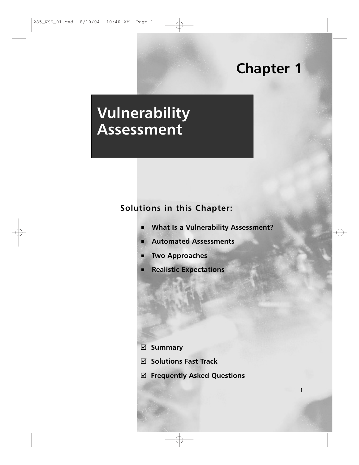# **Chapter 1**

1

# **Vulnerability Assessment**

#### **Solutions in this Chapter:**

- **What Is a Vulnerability Assessment?**
- **Automated Assessments**
- **Two Approaches**
- **Realistic Expectations**

- **Summary**

- **Solutions Fast Track**

- **Frequently Asked Questions**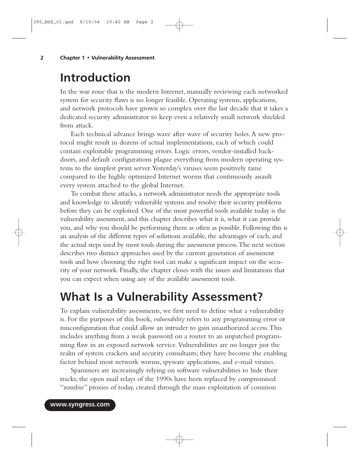# **Introduction**

In the war zone that is the modern Internet, manually reviewing each networked system for security flaws is no longer feasible. Operating systems, applications, and network protocols have grown so complex over the last decade that it takes a dedicated security administrator to keep even a relatively small network shielded from attack.

Each technical advance brings wave after wave of security holes.A new protocol might result in dozens of actual implementations, each of which could contain exploitable programming errors. Logic errors, vendor-installed backdoors, and default configurations plague everything from modern operating systems to the simplest print server.Yesterday's viruses seem positively tame compared to the highly optimized Internet worms that continuously assault every system attached to the global Internet.

To combat these attacks, a network administrator needs the appropriate tools and knowledge to identify vulnerable systems and resolve their security problems before they can be exploited. One of the most powerful tools available today is the vulnerability assessment, and this chapter describes what it is, what it can provide you, and why you should be performing them as often as possible. Following this is an analysis of the different types of solutions available, the advantages of each, and the actual steps used by most tools during the assessment process.The next section describes two distinct approaches used by the current generation of assessment tools and how choosing the right tool can make a significant impact on the security of your network. Finally, the chapter closes with the issues and limitations that you can expect when using any of the available assessment tools.

# **What Is a Vulnerability Assessment?**

To explain vulnerability assessments, we first need to define what a vulnerability is. For the purposes of this book, *vulnerability* refers to any programming error or misconfiguration that could allow an intruder to gain unauthorized access.This includes anything from a weak password on a router to an unpatched programming flaw in an exposed network service. Vulnerabilities are no longer just the realm of system crackers and security consultants; they have become the enabling factor behind most network worms, spyware applications, and e-mail viruses.

Spammers are increasingly relying on software vulnerabilities to hide their tracks; the open mail relays of the 1990s have been replaced by compromised "zombie" proxies of today, created through the mass exploitation of common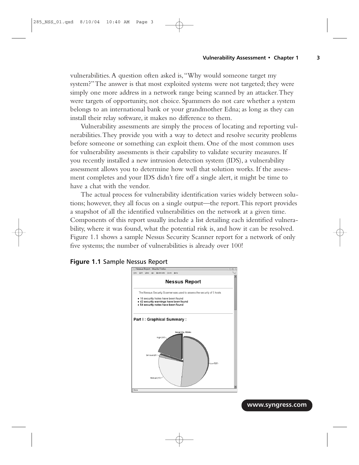vulnerabilities.A question often asked is,"Why would someone target my system?"The answer is that most exploited systems were not targeted; they were simply one more address in a network range being scanned by an attacker.They were targets of opportunity, not choice. Spammers do not care whether a system belongs to an international bank or your grandmother Edna; as long as they can install their relay software, it makes no difference to them.

Vulnerability assessments are simply the process of locating and reporting vulnerabilities.They provide you with a way to detect and resolve security problems before someone or something can exploit them. One of the most common uses for vulnerability assessments is their capability to validate security measures. If you recently installed a new intrusion detection system (IDS), a vulnerability assessment allows you to determine how well that solution works. If the assessment completes and your IDS didn't fire off a single alert, it might be time to have a chat with the vendor.

The actual process for vulnerability identification varies widely between solutions; however, they all focus on a single output—the report.This report provides a snapshot of all the identified vulnerabilities on the network at a given time. Components of this report usually include a list detailing each identified vulnerability, where it was found, what the potential risk is, and how it can be resolved. Figure 1.1 shows a sample Nessus Security Scanner report for a network of only five systems; the number of vulnerabilities is already over 100!





**www.syngress.com**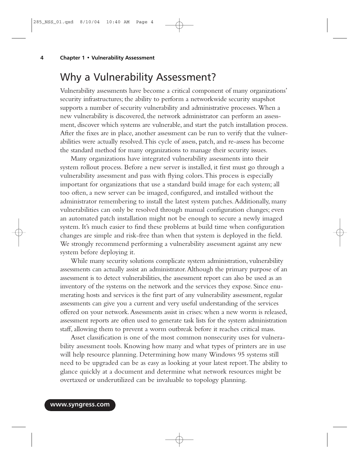## Why a Vulnerability Assessment?

Vulnerability assessments have become a critical component of many organizations' security infrastructures; the ability to perform a networkwide security snapshot supports a number of security vulnerability and administrative processes.When a new vulnerability is discovered, the network administrator can perform an assessment, discover which systems are vulnerable, and start the patch installation process. After the fixes are in place, another assessment can be run to verify that the vulnerabilities were actually resolved.This cycle of assess, patch, and re-assess has become the standard method for many organizations to manage their security issues.

Many organizations have integrated vulnerability assessments into their system rollout process. Before a new server is installed, it first must go through a vulnerability assessment and pass with flying colors.This process is especially important for organizations that use a standard build image for each system; all too often, a new server can be imaged, configured, and installed without the administrator remembering to install the latest system patches. Additionally, many vulnerabilities can only be resolved through manual configuration changes; even an automated patch installation might not be enough to secure a newly imaged system. It's much easier to find these problems at build time when configuration changes are simple and risk-free than when that system is deployed in the field. We strongly recommend performing a vulnerability assessment against any new system before deploying it.

While many security solutions complicate system administration, vulnerability assessments can actually assist an administrator.Although the primary purpose of an assessment is to detect vulnerabilities, the assessment report can also be used as an inventory of the systems on the network and the services they expose. Since enumerating hosts and services is the first part of any vulnerability assessment, regular assessments can give you a current and very useful understanding of the services offered on your network.Assessments assist in crises: when a new worm is released, assessment reports are often used to generate task lists for the system administration staff, allowing them to prevent a worm outbreak before it reaches critical mass.

Asset classification is one of the most common nonsecurity uses for vulnerability assessment tools. Knowing how many and what types of printers are in use will help resource planning. Determining how many Windows 95 systems still need to be upgraded can be as easy as looking at your latest report.The ability to glance quickly at a document and determine what network resources might be overtaxed or underutilized can be invaluable to topology planning.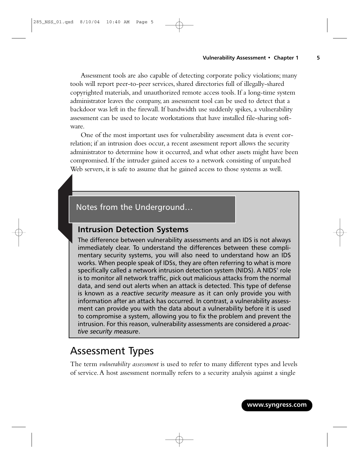Assessment tools are also capable of detecting corporate policy violations; many tools will report peer-to-peer services, shared directories full of illegally-shared copyrighted materials, and unauthorized remote access tools. If a long-time system administrator leaves the company, an assessment tool can be used to detect that a backdoor was left in the firewall. If bandwidth use suddenly spikes, a vulnerability assessment can be used to locate workstations that have installed file-sharing software.

One of the most important uses for vulnerability assessment data is event correlation; if an intrusion does occur, a recent assessment report allows the security administrator to determine how it occurred, and what other assets might have been compromised. If the intruder gained access to a network consisting of unpatched Web servers, it is safe to assume that he gained access to those systems as well.

#### Notes from the Underground…

#### **Intrusion Detection Systems**

The difference between vulnerability assessments and an IDS is not always immediately clear. To understand the differences between these complimentary security systems, you will also need to understand how an IDS works. When people speak of IDSs, they are often referring to what is more specifically called a network intrusion detection system (NIDS). A NIDS' role is to monitor all network traffic, pick out malicious attacks from the normal data, and send out alerts when an attack is detected. This type of defense is known as a *reactive security measure* as it can only provide you with information after an attack has occurred. In contrast, a vulnerability assessment can provide you with the data about a vulnerability before it is used to compromise a system, allowing you to fix the problem and prevent the intrusion. For this reason, vulnerability assessments are considered a *proactive security measure*.

### Assessment Types

The term *vulnerability assessment* is used to refer to many different types and levels of service.A host assessment normally refers to a security analysis against a single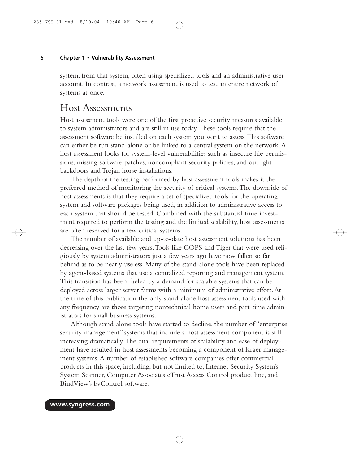system, from that system, often using specialized tools and an administrative user account. In contrast, a network assessment is used to test an entire network of systems at once.

#### Host Assessments

Host assessment tools were one of the first proactive security measures available to system administrators and are still in use today.These tools require that the assessment software be installed on each system you want to assess.This software can either be run stand-alone or be linked to a central system on the network.A host assessment looks for system-level vulnerabilities such as insecure file permissions, missing software patches, noncompliant security policies, and outright backdoors and Trojan horse installations.

The depth of the testing performed by host assessment tools makes it the preferred method of monitoring the security of critical systems.The downside of host assessments is that they require a set of specialized tools for the operating system and software packages being used, in addition to administrative access to each system that should be tested. Combined with the substantial time investment required to perform the testing and the limited scalability, host assessments are often reserved for a few critical systems.

The number of available and up-to-date host assessment solutions has been decreasing over the last few years.Tools like COPS and Tiger that were used religiously by system administrators just a few years ago have now fallen so far behind as to be nearly useless. Many of the stand-alone tools have been replaced by agent-based systems that use a centralized reporting and management system. This transition has been fueled by a demand for scalable systems that can be deployed across larger server farms with a minimum of administrative effort.At the time of this publication the only stand-alone host assessment tools used with any frequency are those targeting nontechnical home users and part-time administrators for small business systems.

Although stand-alone tools have started to decline, the number of "enterprise security management" systems that include a host assessment component is still increasing dramatically.The dual requirements of scalability and ease of deployment have resulted in host assessments becoming a component of larger management systems.A number of established software companies offer commercial products in this space, including, but not limited to, Internet Security System's System Scanner, Computer Associates eTrust Access Control product line, and BindView's bvControl software.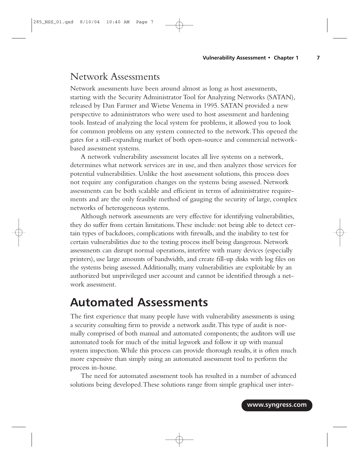### Network Assessments

Network assessments have been around almost as long as host assessments, starting with the Security Administrator Tool for Analyzing Networks (SATAN), released by Dan Farmer and Wietse Venema in 1995. SATAN provided a new perspective to administrators who were used to host assessment and hardening tools. Instead of analyzing the local system for problems, it allowed you to look for common problems on any system connected to the network.This opened the gates for a still-expanding market of both open-source and commercial networkbased assessment systems.

A network vulnerability assessment locates all live systems on a network, determines what network services are in use, and then analyzes those services for potential vulnerabilities. Unlike the host assessment solutions, this process does not require any configuration changes on the systems being assessed. Network assessments can be both scalable and efficient in terms of administrative requirements and are the only feasible method of gauging the security of large, complex networks of heterogeneous systems.

Although network assessments are very effective for identifying vulnerabilities, they do suffer from certain limitations.These include: not being able to detect certain types of backdoors, complications with firewalls, and the inability to test for certain vulnerabilities due to the testing process itself being dangerous. Network assessments can disrupt normal operations, interfere with many devices (especially printers), use large amounts of bandwidth, and create fill-up disks with log files on the systems being assessed.Additionally, many vulnerabilities are exploitable by an authorized but unprivileged user account and cannot be identified through a network assessment.

## **Automated Assessments**

The first experience that many people have with vulnerability assessments is using a security consulting firm to provide a network audit.This type of audit is normally comprised of both manual and automated components; the auditors will use automated tools for much of the initial legwork and follow it up with manual system inspection.While this process can provide thorough results, it is often much more expensive than simply using an automated assessment tool to perform the process in-house.

The need for automated assessment tools has resulted in a number of advanced solutions being developed.These solutions range from simple graphical user inter-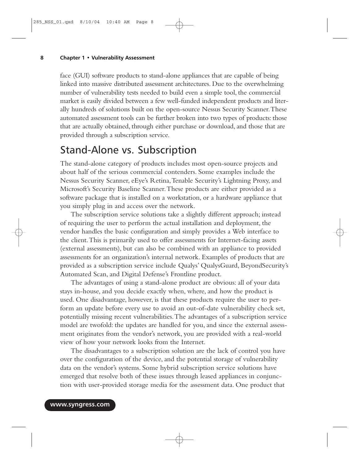face (GUI) software products to stand-alone appliances that are capable of being linked into massive distributed assessment architectures. Due to the overwhelming number of vulnerability tests needed to build even a simple tool, the commercial market is easily divided between a few well-funded independent products and literally hundreds of solutions built on the open-source Nessus Security Scanner.These automated assessment tools can be further broken into two types of products: those that are actually obtained, through either purchase or download, and those that are provided through a subscription service.

## Stand-Alone vs. Subscription

The stand-alone category of products includes most open-source projects and about half of the serious commercial contenders. Some examples include the Nessus Security Scanner, eEye's Retina,Tenable Security's Lightning Proxy, and Microsoft's Security Baseline Scanner.These products are either provided as a software package that is installed on a workstation, or a hardware appliance that you simply plug in and access over the network.

The subscription service solutions take a slightly different approach; instead of requiring the user to perform the actual installation and deployment, the vendor handles the basic configuration and simply provides a Web interface to the client.This is primarily used to offer assessments for Internet-facing assets (external assessments), but can also be combined with an appliance to provided assessments for an organization's internal network. Examples of products that are provided as a subscription service include Qualys' QualysGuard, BeyondSecurity's Automated Scan, and Digital Defense's Frontline product.

The advantages of using a stand-alone product are obvious: all of your data stays in-house, and you decide exactly when, where, and how the product is used. One disadvantage, however, is that these products require the user to perform an update before every use to avoid an out-of-date vulnerability check set, potentially missing recent vulnerabilities.The advantages of a subscription service model are twofold: the updates are handled for you, and since the external assessment originates from the vendor's network, you are provided with a real-world view of how your network looks from the Internet.

The disadvantages to a subscription solution are the lack of control you have over the configuration of the device, and the potential storage of vulnerability data on the vendor's systems. Some hybrid subscription service solutions have emerged that resolve both of these issues through leased appliances in conjunction with user-provided storage media for the assessment data. One product that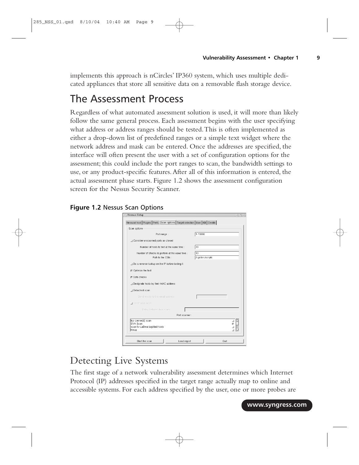implements this approach is nCircles' IP360 system, which uses multiple dedicated appliances that store all sensitive data on a removable flash storage device.

## The Assessment Process

Regardless of what automated assessment solution is used, it will more than likely follow the same general process. Each assessment begins with the user specifying what address or address ranges should be tested.This is often implemented as either a drop-down list of predefined ranges or a simple text widget where the network address and mask can be entered. Once the addresses are specified, the interface will often present the user with a set of configuration options for the assessment; this could include the port ranges to scan, the bandwidth settings to use, or any product-specific features.After all of this information is entered, the actual assessment phase starts. Figure 1.2 shows the assessment configuration screen for the Nessus Security Scanner.

#### **Figure 1.2** Nessus Scan Options



## Detecting Live Systems

The first stage of a network vulnerability assessment determines which Internet Protocol (IP) addresses specified in the target range actually map to online and accessible systems. For each address specified by the user, one or more probes are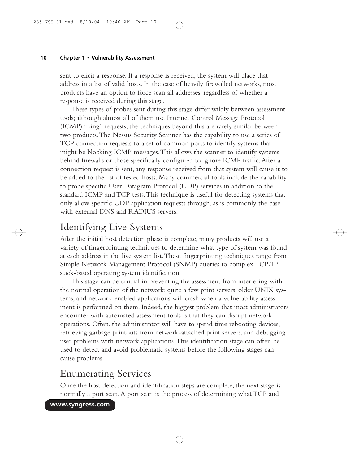sent to elicit a response. If a response is received, the system will place that address in a list of valid hosts. In the case of heavily firewalled networks, most products have an option to force scan all addresses, regardless of whether a response is received during this stage.

These types of probes sent during this stage differ wildly between assessment tools; although almost all of them use Internet Control Message Protocol (ICMP) "ping" requests, the techniques beyond this are rarely similar between two products.The Nessus Security Scanner has the capability to use a series of TCP connection requests to a set of common ports to identify systems that might be blocking ICMP messages.This allows the scanner to identify systems behind firewalls or those specifically configured to ignore ICMP traffic.After a connection request is sent, any response received from that system will cause it to be added to the list of tested hosts. Many commercial tools include the capability to probe specific User Datagram Protocol (UDP) services in addition to the standard ICMP and TCP tests.This technique is useful for detecting systems that only allow specific UDP application requests through, as is commonly the case with external DNS and RADIUS servers.

### Identifying Live Systems

After the initial host detection phase is complete, many products will use a variety of fingerprinting techniques to determine what type of system was found at each address in the live system list.These fingerprinting techniques range from Simple Network Management Protocol (SNMP) queries to complex TCP/IP stack-based operating system identification.

This stage can be crucial in preventing the assessment from interfering with the normal operation of the network; quite a few print servers, older UNIX systems, and network-enabled applications will crash when a vulnerability assessment is performed on them. Indeed, the biggest problem that most administrators encounter with automated assessment tools is that they can disrupt network operations. Often, the administrator will have to spend time rebooting devices, retrieving garbage printouts from network-attached print servers, and debugging user problems with network applications.This identification stage can often be used to detect and avoid problematic systems before the following stages can cause problems.

### Enumerating Services

Once the host detection and identification steps are complete, the next stage is normally a port scan.A port scan is the process of determining what TCP and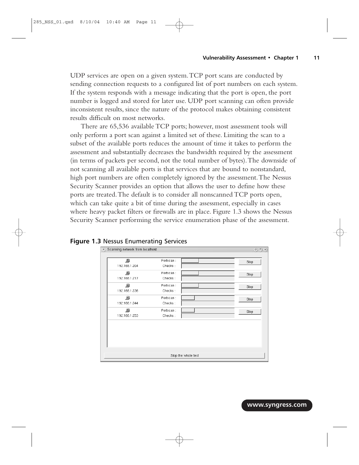UDP services are open on a given system.TCP port scans are conducted by sending connection requests to a configured list of port numbers on each system. If the system responds with a message indicating that the port is open, the port number is logged and stored for later use. UDP port scanning can often provide inconsistent results, since the nature of the protocol makes obtaining consistent results difficult on most networks.

There are 65,536 available TCP ports; however, most assessment tools will only perform a port scan against a limited set of these. Limiting the scan to a subset of the available ports reduces the amount of time it takes to perform the assessment and substantially decreases the bandwidth required by the assessment (in terms of packets per second, not the total number of bytes).The downside of not scanning all available ports is that services that are bound to nonstandard, high port numbers are often completely ignored by the assessment.The Nessus Security Scanner provides an option that allows the user to define how these ports are treated.The default is to consider all nonscanned TCP ports open, which can take quite a bit of time during the assessment, especially in cases where heavy packet filters or firewalls are in place. Figure 1.3 shows the Nessus Security Scanner performing the service enumeration phase of the assessment.

| Scanning network from localhost<br>$\left( \frac{361}{122}\right)$ |                      |                     | $\nabla$ D X |
|--------------------------------------------------------------------|----------------------|---------------------|--------------|
| g,<br>192.168.1.204                                                | Portscan:<br>Checks: |                     | Stop         |
| B<br>192.168.1.217                                                 | Portscan:<br>Checks: |                     | Stop         |
| B,<br>192.168.1.236                                                | Portscan:<br>Checks: |                     | Stop         |
| B.<br>192.168.1.244                                                | Portscan:<br>Checks: |                     | Stop         |
| b<br>192.168.1.253                                                 | Portscan:<br>Checks: |                     | Stop         |
|                                                                    |                      |                     |              |
|                                                                    |                      |                     |              |
|                                                                    |                      |                     |              |
|                                                                    |                      | Stop the whole test |              |

#### **Figure 1.3** Nessus Enumerating Services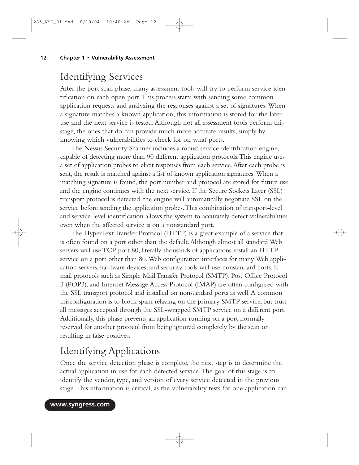### Identifying Services

After the port scan phase, many assessment tools will try to perform service identification on each open port.This process starts with sending some common application requests and analyzing the responses against a set of signatures. When a signature matches a known application, this information is stored for the later use and the next service is tested.Although not all assessment tools perform this stage, the ones that do can provide much more accurate results, simply by knowing which vulnerabilities to check for on what ports.

The Nessus Security Scanner includes a robust service identification engine, capable of detecting more than 90 different application protocols.This engine uses a set of application probes to elicit responses from each service.After each probe is sent, the result is matched against a list of known application signatures.When a matching signature is found, the port number and protocol are stored for future use and the engine continues with the next service. If the Secure Sockets Layer (SSL) transport protocol is detected, the engine will automatically negotiate SSL on the service before sending the application probes.This combination of transport-level and service-level identification allows the system to accurately detect vulnerabilities even when the affected service is on a nonstandard port.

The HyperText Transfer Protocol (HTTP) is a great example of a service that is often found on a port other than the default.Although almost all standard Web servers will use TCP port 80, literally thousands of applications install an HTTP service on a port other than 80.Web configuration interfaces for many Web application servers, hardware devices, and security tools will use nonstandard ports. Email protocols such as Simple Mail Transfer Protocol (SMTP), Post Office Protocol 3 (POP3), and Internet Message Access Protocol (IMAP) are often configured with the SSL transport protocol and installed on nonstandard ports as well.A common misconfiguration is to block spam relaying on the primary SMTP service, but trust all messages accepted through the SSL-wrapped SMTP service on a different port. Additionally, this phase prevents an application running on a port normally reserved for another protocol from being ignored completely by the scan or resulting in false positives.

## Identifying Applications

Once the service detection phase is complete, the next step is to determine the actual application in use for each detected service.The goal of this stage is to identify the vendor, type, and version of every service detected in the previous stage.This information is critical, as the vulnerability tests for one application can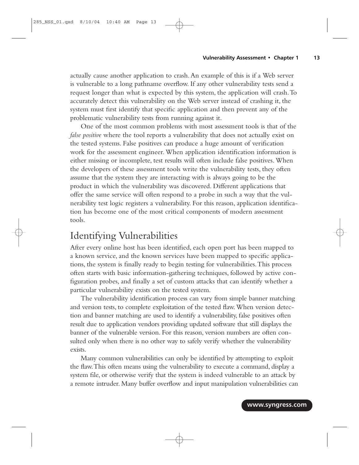actually cause another application to crash.An example of this is if a Web server is vulnerable to a long pathname overflow. If any other vulnerability tests send a request longer than what is expected by this system, the application will crash.To accurately detect this vulnerability on the Web server instead of crashing it, the system must first identify that specific application and then prevent any of the problematic vulnerability tests from running against it.

One of the most common problems with most assessment tools is that of the *false positive* where the tool reports a vulnerability that does not actually exist on the tested systems. False positives can produce a huge amount of verification work for the assessment engineer. When application identification information is either missing or incomplete, test results will often include false positives. When the developers of these assessment tools write the vulnerability tests, they often assume that the system they are interacting with is always going to be the product in which the vulnerability was discovered. Different applications that offer the same service will often respond to a probe in such a way that the vulnerability test logic registers a vulnerability. For this reason, application identification has become one of the most critical components of modern assessment tools.

### Identifying Vulnerabilities

After every online host has been identified, each open port has been mapped to a known service, and the known services have been mapped to specific applications, the system is finally ready to begin testing for vulnerabilities.This process often starts with basic information-gathering techniques, followed by active configuration probes, and finally a set of custom attacks that can identify whether a particular vulnerability exists on the tested system.

The vulnerability identification process can vary from simple banner matching and version tests, to complete exploitation of the tested flaw.When version detection and banner matching are used to identify a vulnerability, false positives often result due to application vendors providing updated software that still displays the banner of the vulnerable version. For this reason, version numbers are often consulted only when there is no other way to safely verify whether the vulnerability exists.

Many common vulnerabilities can only be identified by attempting to exploit the flaw.This often means using the vulnerability to execute a command, display a system file, or otherwise verify that the system is indeed vulnerable to an attack by a remote intruder. Many buffer overflow and input manipulation vulnerabilities can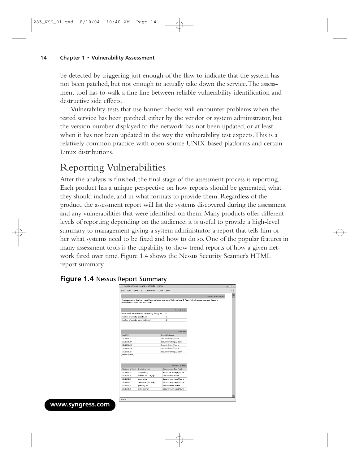be detected by triggering just enough of the flaw to indicate that the system has not been patched, but not enough to actually take down the service.The assessment tool has to walk a fine line between reliable vulnerability identification and destructive side effects.

Vulnerability tests that use banner checks will encounter problems when the tested service has been patched, either by the vendor or system administrator, but the version number displayed to the network has not been updated, or at least when it has not been updated in the way the vulnerability test expects.This is a relatively common practice with open-source UNIX-based platforms and certain Linux distributions.

## Reporting Vulnerabilities

After the analysis is finished, the final stage of the assessment process is reporting. Each product has a unique perspective on how reports should be generated, what they should include, and in what formats to provide them. Regardless of the product, the assessment report will list the systems discovered during the assessment and any vulnerabilities that were identified on them. Many products offer different levels of reporting depending on the audience; it is useful to provide a high-level summary to management giving a system administrator a report that tells him or her what systems need to be fixed and how to do so. One of the popular features in many assessment tools is the capability to show trend reports of how a given network fared over time. Figure 1.4 shows the Nessus Security Scanner's HTML report summary.

|                                                   |                             |                           |                             | <b>Nessus Scan Report</b>                                                                                               |
|---------------------------------------------------|-----------------------------|---------------------------|-----------------------------|-------------------------------------------------------------------------------------------------------------------------|
| procedures to eradicate these threats.            |                             |                           |                             | This report gives details on hosts that were tested and issues that were found. Please follow the recommended steps and |
|                                                   |                             |                           |                             |                                                                                                                         |
|                                                   |                             |                           | <b>Scan Details</b>         |                                                                                                                         |
| Hosts which were alive and responding during test |                             | 5                         |                             |                                                                                                                         |
| Number of security holes found                    |                             | 16                        |                             |                                                                                                                         |
| Number of security warnings found                 |                             |                           | 42                          |                                                                                                                         |
|                                                   |                             |                           |                             |                                                                                                                         |
|                                                   |                             |                           |                             |                                                                                                                         |
|                                                   |                             |                           | <b>Host List</b>            |                                                                                                                         |
| Host(s)                                           |                             |                           | <b>Possible Tssue</b>       |                                                                                                                         |
| 192.168.1.2                                       |                             |                           | Security hole(s) found      |                                                                                                                         |
| 192.168.1.204                                     |                             |                           | Security warning(s) found   |                                                                                                                         |
| 192.168.1.217                                     |                             |                           | Security hole(s) found      |                                                                                                                         |
| 192.168.1.236                                     |                             | Security hole(s) found    |                             |                                                                                                                         |
| 192.168.1.253                                     |                             | Security warning(s) found |                             |                                                                                                                         |
| Freturn to top 1                                  |                             |                           |                             |                                                                                                                         |
|                                                   |                             |                           |                             |                                                                                                                         |
|                                                   |                             |                           |                             |                                                                                                                         |
|                                                   |                             |                           | <b>Analysis of Host</b>     |                                                                                                                         |
| Address of Host                                   | Port/Service                |                           | <b>Issue regarding Port</b> |                                                                                                                         |
| 192.168.1.2                                       | ssh (22/tcp)                |                           | Security warning(s) found   |                                                                                                                         |
| 192.168.1.2                                       | netbios-ssn (139/tcp)       |                           | Security hole found         |                                                                                                                         |
| 192.168.1.2                                       | general/tcp                 |                           | Security warning(s) found   |                                                                                                                         |
| 192.168.1.2                                       | netbios-ns (137/udp)        |                           | Security warning(s) found   |                                                                                                                         |
|                                                   | general/udp<br>general/icmp |                           | Security notes found        |                                                                                                                         |
| 192.168.1.2                                       |                             |                           | Security warning(s) found   |                                                                                                                         |

#### **Figure 1.4** Nessus Report Summary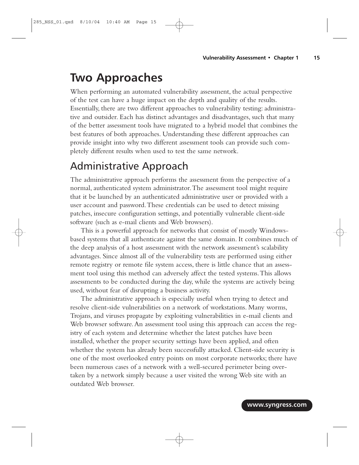# **Two Approaches**

When performing an automated vulnerability assessment, the actual perspective of the test can have a huge impact on the depth and quality of the results. Essentially, there are two different approaches to vulnerability testing: administrative and outsider. Each has distinct advantages and disadvantages, such that many of the better assessment tools have migrated to a hybrid model that combines the best features of both approaches. Understanding these different approaches can provide insight into why two different assessment tools can provide such completely different results when used to test the same network.

# Administrative Approach

The administrative approach performs the assessment from the perspective of a normal, authenticated system administrator.The assessment tool might require that it be launched by an authenticated administrative user or provided with a user account and password.These credentials can be used to detect missing patches, insecure configuration settings, and potentially vulnerable client-side software (such as e-mail clients and Web browsers).

This is a powerful approach for networks that consist of mostly Windowsbased systems that all authenticate against the same domain. It combines much of the deep analysis of a host assessment with the network assessment's scalability advantages. Since almost all of the vulnerability tests are performed using either remote registry or remote file system access, there is little chance that an assessment tool using this method can adversely affect the tested systems.This allows assessments to be conducted during the day, while the systems are actively being used, without fear of disrupting a business activity.

The administrative approach is especially useful when trying to detect and resolve client-side vulnerabilities on a network of workstations. Many worms, Trojans, and viruses propagate by exploiting vulnerabilities in e-mail clients and Web browser software.An assessment tool using this approach can access the registry of each system and determine whether the latest patches have been installed, whether the proper security settings have been applied, and often whether the system has already been successfully attacked. Client-side security is one of the most overlooked entry points on most corporate networks; there have been numerous cases of a network with a well-secured perimeter being overtaken by a network simply because a user visited the wrong Web site with an outdated Web browser.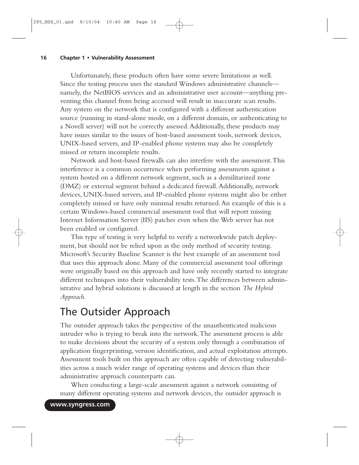Unfortunately, these products often have some severe limitations as well. Since the testing process uses the standard Windows administrative channels namely, the NetBIOS services and an administrative user account—anything preventing this channel from being accessed will result in inaccurate scan results. Any system on the network that is configured with a different authentication source (running in stand-alone mode, on a different domain, or authenticating to a Novell server) will not be correctly assessed.Additionally, these products may have issues similar to the issues of host-based assessment tools, network devices, UNIX-based servers, and IP-enabled phone systems may also be completely missed or return incomplete results.

Network and host-based firewalls can also interfere with the assessment.This interference is a common occurrence when performing assessments against a system hosted on a different network segment, such as a demilitarized zone (DMZ) or external segment behind a dedicated firewall.Additionally, network devices, UNIX-based servers, and IP-enabled phone systems might also be either completely missed or have only minimal results returned.An example of this is a certain Windows-based commercial assessment tool that will report missing Internet Information Server (IIS) patches even when the Web server has not been enabled or configured.

This type of testing is very helpful to verify a networkwide patch deployment, but should not be relied upon as the only method of security testing. Microsoft's Security Baseline Scanner is the best example of an assessment tool that uses this approach alone. Many of the commercial assessment tool offerings were originally based on this approach and have only recently started to integrate different techniques into their vulnerability tests.The differences between administrative and hybrid solutions is discussed at length in the section *The Hybrid Approach*.

## The Outsider Approach

The outsider approach takes the perspective of the unauthenticated malicious intruder who is trying to break into the network.The assessment process is able to make decisions about the security of a system only through a combination of application fingerprinting, version identification, and actual exploitation attempts. Assessment tools built on this approach are often capable of detecting vulnerabilities across a much wider range of operating systems and devices than their administrative approach counterparts can.

When conducting a large-scale assessment against a network consisting of many different operating systems and network devices, the outsider approach is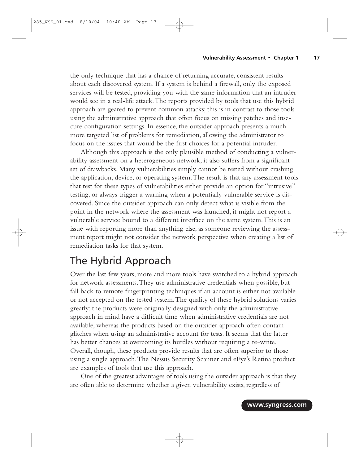the only technique that has a chance of returning accurate, consistent results about each discovered system. If a system is behind a firewall, only the exposed services will be tested, providing you with the same information that an intruder would see in a real-life attack.The reports provided by tools that use this hybrid approach are geared to prevent common attacks; this is in contrast to those tools using the administrative approach that often focus on missing patches and insecure configuration settings. In essence, the outsider approach presents a much more targeted list of problems for remediation, allowing the administrator to focus on the issues that would be the first choices for a potential intruder.

Although this approach is the only plausible method of conducting a vulnerability assessment on a heterogeneous network, it also suffers from a significant set of drawbacks. Many vulnerabilities simply cannot be tested without crashing the application, device, or operating system.The result is that any assessment tools that test for these types of vulnerabilities either provide an option for "intrusive" testing, or always trigger a warning when a potentially vulnerable service is discovered. Since the outsider approach can only detect what is visible from the point in the network where the assessment was launched, it might not report a vulnerable service bound to a different interface on the same system.This is an issue with reporting more than anything else, as someone reviewing the assessment report might not consider the network perspective when creating a list of remediation tasks for that system.

## The Hybrid Approach

Over the last few years, more and more tools have switched to a hybrid approach for network assessments.They use administrative credentials when possible, but fall back to remote fingerprinting techniques if an account is either not available or not accepted on the tested system.The quality of these hybrid solutions varies greatly; the products were originally designed with only the administrative approach in mind have a difficult time when administrative credentials are not available, whereas the products based on the outsider approach often contain glitches when using an administrative account for tests. It seems that the latter has better chances at overcoming its hurdles without requiring a re-write. Overall, though, these products provide results that are often superior to those using a single approach.The Nessus Security Scanner and eEye's Retina product are examples of tools that use this approach.

One of the greatest advantages of tools using the outsider approach is that they are often able to determine whether a given vulnerability exists, regardless of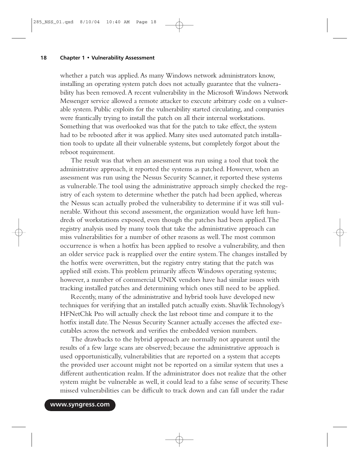whether a patch was applied.As many Windows network administrators know, installing an operating system patch does not actually guarantee that the vulnerability has been removed.A recent vulnerability in the Microsoft Windows Network Messenger service allowed a remote attacker to execute arbitrary code on a vulnerable system. Public exploits for the vulnerability started circulating, and companies were frantically trying to install the patch on all their internal workstations. Something that was overlooked was that for the patch to take effect, the system had to be rebooted after it was applied. Many sites used automated patch installation tools to update all their vulnerable systems, but completely forgot about the reboot requirement.

The result was that when an assessment was run using a tool that took the administrative approach, it reported the systems as patched. However, when an assessment was run using the Nessus Security Scanner, it reported these systems as vulnerable.The tool using the administrative approach simply checked the registry of each system to determine whether the patch had been applied, whereas the Nessus scan actually probed the vulnerability to determine if it was still vulnerable. Without this second assessment, the organization would have left hundreds of workstations exposed, even though the patches had been applied.The registry analysis used by many tools that take the administrative approach can miss vulnerabilities for a number of other reasons as well.The most common occurrence is when a hotfix has been applied to resolve a vulnerability, and then an older service pack is reapplied over the entire system.The changes installed by the hotfix were overwritten, but the registry entry stating that the patch was applied still exists.This problem primarily affects Windows operating systems; however, a number of commercial UNIX vendors have had similar issues with tracking installed patches and determining which ones still need to be applied.

Recently, many of the administrative and hybrid tools have developed new techniques for verifying that an installed patch actually exists. Shavlik Technology's HFNetChk Pro will actually check the last reboot time and compare it to the hotfix install date.The Nessus Security Scanner actually accesses the affected executables across the network and verifies the embedded version numbers.

The drawbacks to the hybrid approach are normally not apparent until the results of a few large scans are observed; because the administrative approach is used opportunistically, vulnerabilities that are reported on a system that accepts the provided user account might not be reported on a similar system that uses a different authentication realm. If the administrator does not realize that the other system might be vulnerable as well, it could lead to a false sense of security.These missed vulnerabilities can be difficult to track down and can fall under the radar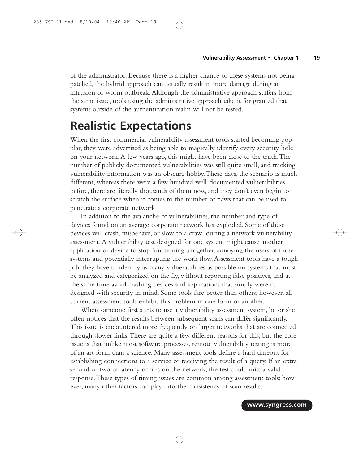of the administrator. Because there is a higher chance of these systems not being patched, the hybrid approach can actually result in more damage during an intrusion or worm outbreak.Although the administrative approach suffers from the same issue, tools using the administrative approach take it for granted that systems outside of the authentication realm will not be tested.

# **Realistic Expectations**

When the first commercial vulnerability assessment tools started becoming popular, they were advertised as being able to magically identify every security hole on your network.A few years ago, this might have been close to the truth.The number of publicly documented vulnerabilities was still quite small, and tracking vulnerability information was an obscure hobby.These days, the scenario is much different, whereas there were a few hundred well-documented vulnerabilities before, there are literally thousands of them now, and they don't even begin to scratch the surface when it comes to the number of flaws that can be used to penetrate a corporate network.

In addition to the avalanche of vulnerabilities, the number and type of devices found on an average corporate network has exploded. Some of these devices will crash, misbehave, or slow to a crawl during a network vulnerability assessment.A vulnerability test designed for one system might cause another application or device to stop functioning altogether, annoying the users of those systems and potentially interrupting the work flow.Assessment tools have a tough job; they have to identify as many vulnerabilities as possible on systems that must be analyzed and categorized on the fly, without reporting false positives, and at the same time avoid crashing devices and applications that simply weren't designed with security in mind. Some tools fare better than others; however, all current assessment tools exhibit this problem in one form or another.

When someone first starts to use a vulnerability assessment system, he or she often notices that the results between subsequent scans can differ significantly. This issue is encountered more frequently on larger networks that are connected through slower links.There are quite a few different reasons for this, but the core issue is that unlike most software processes, remote vulnerability testing is more of an art form than a science. Many assessment tools define a hard timeout for establishing connections to a service or receiving the result of a query. If an extra second or two of latency occurs on the network, the test could miss a valid response.These types of timing issues are common among assessment tools; however, many other factors can play into the consistency of scan results.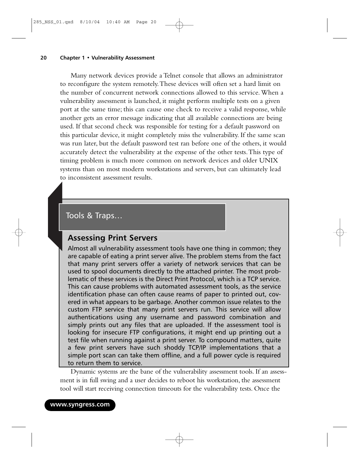Many network devices provide a Telnet console that allows an administrator to reconfigure the system remotely.These devices will often set a hard limit on the number of concurrent network connections allowed to this service. When a vulnerability assessment is launched, it might perform multiple tests on a given port at the same time; this can cause one check to receive a valid response, while another gets an error message indicating that all available connections are being used. If that second check was responsible for testing for a default password on this particular device, it might completely miss the vulnerability. If the same scan was run later, but the default password test ran before one of the others, it would accurately detect the vulnerability at the expense of the other tests.This type of timing problem is much more common on network devices and older UNIX systems than on most modern workstations and servers, but can ultimately lead to inconsistent assessment results.

#### Tools & Traps…

#### **Assessing Print Servers**

Almost all vulnerability assessment tools have one thing in common; they are capable of eating a print server alive. The problem stems from the fact that many print servers offer a variety of network services that can be used to spool documents directly to the attached printer. The most problematic of these services is the Direct Print Protocol, which is a TCP service. This can cause problems with automated assessment tools, as the service identification phase can often cause reams of paper to printed out, covered in what appears to be garbage. Another common issue relates to the custom FTP service that many print servers run. This service will allow authentications using any username and password combination and simply prints out any files that are uploaded. If the assessment tool is looking for insecure FTP configurations, it might end up printing out a test file when running against a print server. To compound matters, quite a few print servers have such shoddy TCP/IP implementations that a simple port scan can take them offline, and a full power cycle is required to return them to service.

Dynamic systems are the bane of the vulnerability assessment tools. If an assessment is in full swing and a user decides to reboot his workstation, the assessment tool will start receiving connection timeouts for the vulnerability tests. Once the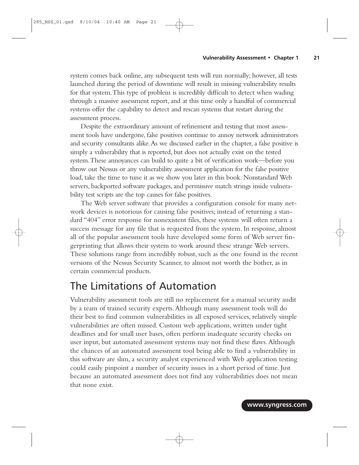system comes back online, any subsequent tests will run normally; however, all tests launched during the period of downtime will result in missing vulnerability results for that system.This type of problem is incredibly difficult to detect when wading through a massive assessment report, and at this time only a handful of commercial systems offer the capability to detect and rescan systems that restart during the assessment process.

Despite the extraordinary amount of refinement and testing that most assessment tools have undergone, false positives continue to annoy network administrators and security consultants alike.As we discussed earlier in the chapter, a false positive is simply a vulnerability that is reported, but does not actually exist on the tested system.These annoyances can build to quite a bit of verification work—before you throw out Nessus or any vulnerability assessment application for the false positive load, take the time to tune it as we show you later in this book. Nonstandard Web servers, backported software packages, and permissive match strings inside vulnerability test scripts are the top causes for false positives.

The Web server software that provides a configuration console for many network devices is notorious for causing false positives; instead of returning a standard "404" error response for nonexistent files, these systems will often return a success message for any file that is requested from the system. In response, almost all of the popular assessment tools have developed some form of Web server fingerprinting that allows their system to work around these strange Web servers. These solutions range from incredibly robust, such as the one found in the recent versions of the Nessus Security Scanner, to almost not worth the bother, as in certain commercial products.

## The Limitations of Automation

Vulnerability assessment tools are still no replacement for a manual security audit by a team of trained security experts.Although many assessment tools will do their best to find common vulnerabilities in all exposed services, relatively simple vulnerabilities are often missed. Custom web applications, written under tight deadlines and for small user bases, often perform inadequate security checks on user input, but automated assessment systems may not find these flaws.Although the chances of an automated assessment tool being able to find a vulnerability in this software are slim, a security analyst experienced with Web application testing could easily pinpoint a number of security issues in a short period of time. Just because an automated assessment does not find any vulnerabilities does not mean that none exist.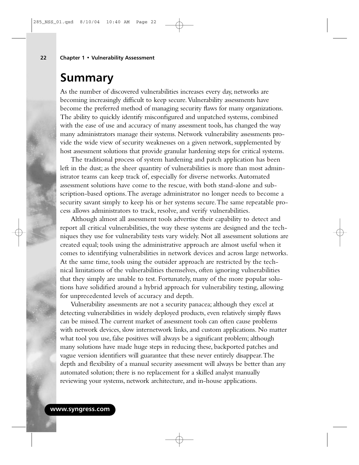## **Summary**

As the number of discovered vulnerabilities increases every day, networks are becoming increasingly difficult to keep secure. Vulnerability assessments have become the preferred method of managing security flaws for many organizations. The ability to quickly identify misconfigured and unpatched systems, combined with the ease of use and accuracy of many assessment tools, has changed the way many administrators manage their systems. Network vulnerability assessments provide the wide view of security weaknesses on a given network, supplemented by host assessment solutions that provide granular hardening steps for critical systems.

The traditional process of system hardening and patch application has been left in the dust; as the sheer quantity of vulnerabilities is more than most administrator teams can keep track of, especially for diverse networks.Automated assessment solutions have come to the rescue, with both stand-alone and subscription-based options.The average administrator no longer needs to become a security savant simply to keep his or her systems secure.The same repeatable process allows administrators to track, resolve, and verify vulnerabilities.

Although almost all assessment tools advertise their capability to detect and report all critical vulnerabilities, the way these systems are designed and the techniques they use for vulnerability tests vary widely. Not all assessment solutions are created equal; tools using the administrative approach are almost useful when it comes to identifying vulnerabilities in network devices and across large networks. At the same time, tools using the outsider approach are restricted by the technical limitations of the vulnerabilities themselves, often ignoring vulnerabilities that they simply are unable to test. Fortunately, many of the more popular solutions have solidified around a hybrid approach for vulnerability testing, allowing for unprecedented levels of accuracy and depth.

Vulnerability assessments are not a security panacea; although they excel at detecting vulnerabilities in widely deployed products, even relatively simply flaws can be missed.The current market of assessment tools can often cause problems with network devices, slow internetwork links, and custom applications. No matter what tool you use, false positives will always be a significant problem; although many solutions have made huge steps in reducing these, backported patches and vague version identifiers will guarantee that these never entirely disappear.The depth and flexibility of a manual security assessment will always be better than any automated solution; there is no replacement for a skilled analyst manually reviewing your systems, network architecture, and in-house applications.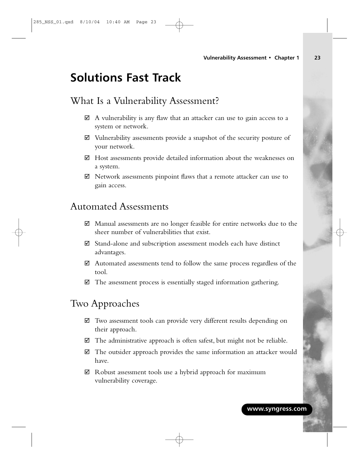# **Solutions Fast Track**

### What Is a Vulnerability Assessment?

- $\boxtimes$  A vulnerability is any flaw that an attacker can use to gain access to a system or network.
- ⊠ Vulnerability assessments provide a snapshot of the security posture of your network.
- ⊠ Host assessments provide detailed information about the weaknesses on a system.
- ⊠ Network assessments pinpoint flaws that a remote attacker can use to gain access.

#### Automated Assessments

- ⊠ Manual assessments are no longer feasible for entire networks due to the sheer number of vulnerabilities that exist.
- ⊠ Stand-alone and subscription assessment models each have distinct advantages.
- $\boxtimes$  Automated assessments tend to follow the same process regardless of the tool.
- ⊠ The assessment process is essentially staged information gathering.

### Two Approaches

- ⊠ Two assessment tools can provide very different results depending on their approach.
- $\boxtimes$  The administrative approach is often safest, but might not be reliable.
- ⊠ The outsider approach provides the same information an attacker would have.
- $⊒$  Robust assessment tools use a hybrid approach for maximum vulnerability coverage.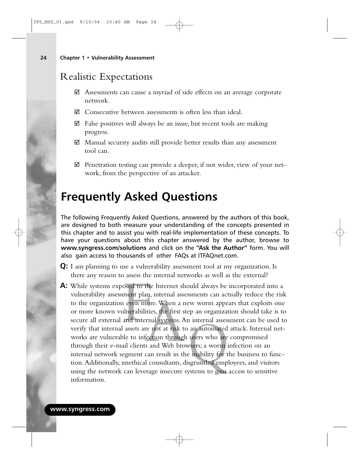### Realistic Expectations

- ⊠ Assessments can cause a myriad of side effects on an average corporate network.
- $\boxtimes$  Consecutive between assessments is often less than ideal.
- $\boxtimes$  False positives will always be an issue, but recent tools are making progress.
- $\boxtimes$  Manual security audits still provide better results than any assessment tool can.
- ⊠ Penetration testing can provide a deeper, if not wider, view of your network, from the perspective of an attacker.

# **Frequently Asked Questions**

The following Frequently Asked Questions, answered by the authors of this book, are designed to both measure your understanding of the concepts presented in this chapter and to assist you with real-life implementation of these concepts. To have your questions about this chapter answered by the author, browse to **www.syngress.com/solutions** and click on the **"Ask the Author"** form. You will also gain access to thousands of other FAQs at ITFAQnet.com.

- **Q:** I am planning to use a vulnerability assessment tool at my organization. Is there any reason to assess the internal networks as well as the external?
- **A:** While systems exposed to the Internet should always be incorporated into a vulnerability assessment plan, internal assessments can actually reduce the risk to the organization even more. When a new worm appears that exploits one or more known vulnerabilities, the first step an organization should take is to secure all external and internal systems.An internal assessment can be used to verify that internal assets are not at risk to an automated attack. Internal networks are vulnerable to infection through users who are compromised through their e-mail clients and Web browsers; a worm infection on an internal network segment can result in the inability for the business to function.Additionally, unethical consultants, disgruntled employees, and visitors using the network can leverage insecure systems to gain access to sensitive information.

**www.syngress.com**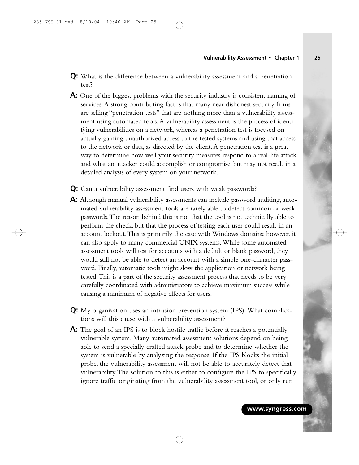- **Q:** What is the difference between a vulnerability assessment and a penetration test?
- **A:** One of the biggest problems with the security industry is consistent naming of services.A strong contributing fact is that many near dishonest security firms are selling "penetration tests" that are nothing more than a vulnerability assessment using automated tools.A vulnerability assessment is the process of identifying vulnerabilities on a network, whereas a penetration test is focused on actually gaining unauthorized access to the tested systems and using that access to the network or data, as directed by the client.A penetration test is a great way to determine how well your security measures respond to a real-life attack and what an attacker could accomplish or compromise, but may not result in a detailed analysis of every system on your network.
- **Q:** Can a vulnerability assessment find users with weak passwords?
- **A:** Although manual vulnerability assessments can include password auditing, automated vulnerability assessment tools are rarely able to detect common or weak passwords.The reason behind this is not that the tool is not technically able to perform the check, but that the process of testing each user could result in an account lockout.This is primarily the case with Windows domains; however, it can also apply to many commercial UNIX systems.While some automated assessment tools will test for accounts with a default or blank password, they would still not be able to detect an account with a simple one-character password. Finally, automatic tools might slow the application or network being tested.This is a part of the security assessment process that needs to be very carefully coordinated with administrators to achieve maximum success while causing a minimum of negative effects for users.
- **Q:** My organization uses an intrusion prevention system (IPS). What complications will this cause with a vulnerability assessment?
- **A:** The goal of an IPS is to block hostile traffic before it reaches a potentially vulnerable system. Many automated assessment solutions depend on being able to send a specially crafted attack probe and to determine whether the system is vulnerable by analyzing the response. If the IPS blocks the initial probe, the vulnerability assessment will not be able to accurately detect that vulnerability.The solution to this is either to configure the IPS to specifically ignore traffic originating from the vulnerability assessment tool, or only run